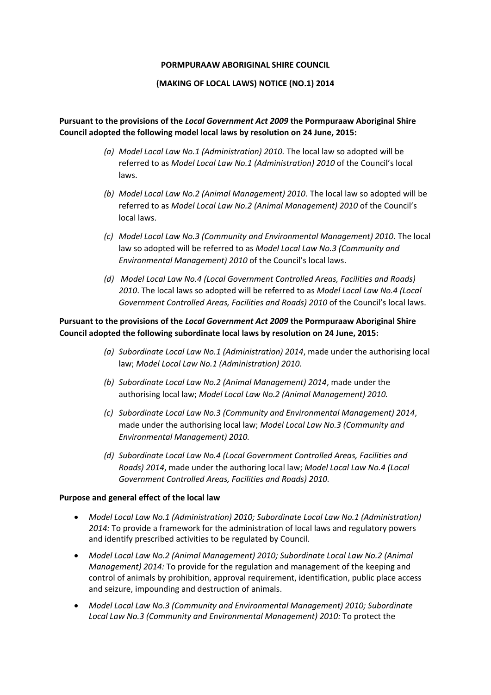### **PORMPURAAW ABORIGINAL SHIRE COUNCIL**

## **(MAKING OF LOCAL LAWS) NOTICE (NO.1) 2014**

# **Pursuant to the provisions of the** *Local Government Act 2009* **the Pormpuraaw Aboriginal Shire Council adopted the following model local laws by resolution on 24 June, 2015:**

- *(a) Model Local Law No.1 (Administration) 2010.* The local law so adopted will be referred to as *Model Local Law No.1 (Administration) 2010* of the Council's local laws.
- *(b) Model Local Law No.2 (Animal Management) 2010*. The local law so adopted will be referred to as *Model Local Law No.2 (Animal Management) 2010* of the Council's local laws.
- *(c) Model Local Law No.3 (Community and Environmental Management) 2010*. The local law so adopted will be referred to as *Model Local Law No.3 (Community and Environmental Management) 2010* of the Council's local laws.
- *(d) Model Local Law No.4 (Local Government Controlled Areas, Facilities and Roads) 2010*. The local laws so adopted will be referred to as *Model Local Law No.4 (Local Government Controlled Areas, Facilities and Roads) 2010* of the Council's local laws.

## **Pursuant to the provisions of the** *Local Government Act 2009* **the Pormpuraaw Aboriginal Shire Council adopted the following subordinate local laws by resolution on 24 June, 2015:**

- *(a) Subordinate Local Law No.1 (Administration) 2014*, made under the authorising local law; *Model Local Law No.1 (Administration) 2010.*
- *(b) Subordinate Local Law No.2 (Animal Management) 2014*, made under the authorising local law; *Model Local Law No.2 (Animal Management) 2010.*
- *(c) Subordinate Local Law No.3 (Community and Environmental Management) 2014*, made under the authorising local law; *Model Local Law No.3 (Community and Environmental Management) 2010.*
- *(d) Subordinate Local Law No.4 (Local Government Controlled Areas, Facilities and Roads) 2014*, made under the authoring local law; *Model Local Law No.4 (Local Government Controlled Areas, Facilities and Roads) 2010.*

## **Purpose and general effect of the local law**

- *Model Local Law No.1 (Administration) 2010; Subordinate Local Law No.1 (Administration) 2014:* To provide a framework for the administration of local laws and regulatory powers and identify prescribed activities to be regulated by Council.
- *Model Local Law No.2 (Animal Management) 2010; Subordinate Local Law No.2 (Animal Management) 2014:* To provide for the regulation and management of the keeping and control of animals by prohibition, approval requirement, identification, public place access and seizure, impounding and destruction of animals.
- *Model Local Law No.3 (Community and Environmental Management) 2010; Subordinate Local Law No.3 (Community and Environmental Management) 2010:* To protect the